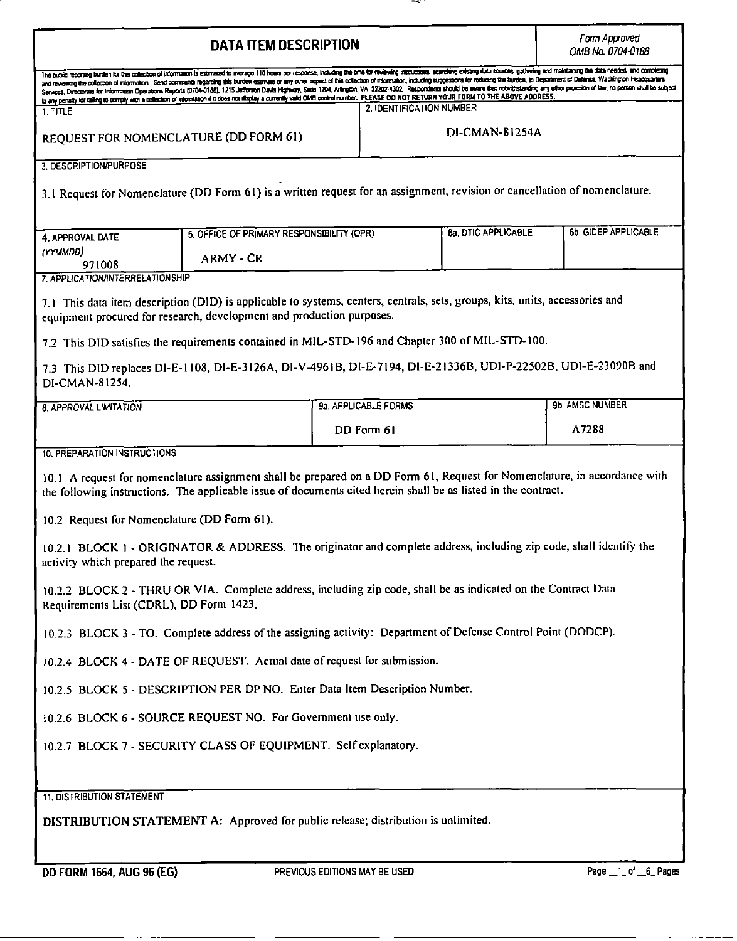| <b>DATA ITEM DESCRIPTION</b>                                                                                                                                                                                                                                                                                                                                                                                                                                                                                                                                                                                                                                                                       |  |                                |                          |                            | Form Approved<br>OMB No. 0704-0188 |
|----------------------------------------------------------------------------------------------------------------------------------------------------------------------------------------------------------------------------------------------------------------------------------------------------------------------------------------------------------------------------------------------------------------------------------------------------------------------------------------------------------------------------------------------------------------------------------------------------------------------------------------------------------------------------------------------------|--|--------------------------------|--------------------------|----------------------------|------------------------------------|
| The public reporting burden for this collection of information is estimated to average 110 hours per response, including the time for reviewing instructions, searching existing data sources, gathering and maintaining the d<br>and revewing the collection of information. Send comments recarding this burden as any other aspect of this collection of information, including suggestions for requiring the burden, to Department of Defense, Washington He<br>Services, Directorate for Information Operations Reports (0704-0188), 1215 Jefferson Davis Highway, Suite 1204, Artington, VA 22202-4302. Respondents should be aware that individualizarding any other provision of law, no p |  |                                |                          |                            |                                    |
| to any penalty for failing to comply with a collection of information if it does not display a currently valid OMB control number. PLEASE DO NOT RETURN YOUR FORM TO THE ABOVE ADDRESS.                                                                                                                                                                                                                                                                                                                                                                                                                                                                                                            |  |                                |                          |                            |                                    |
| 1. TITLE                                                                                                                                                                                                                                                                                                                                                                                                                                                                                                                                                                                                                                                                                           |  |                                | 2. IDENTIFICATION NUMBER |                            |                                    |
| REQUEST FOR NOMENCLATURE (DD FORM 61)                                                                                                                                                                                                                                                                                                                                                                                                                                                                                                                                                                                                                                                              |  |                                | <b>DI-CMAN-81254A</b>    |                            |                                    |
| 3. DESCRIPTION/PURPOSE                                                                                                                                                                                                                                                                                                                                                                                                                                                                                                                                                                                                                                                                             |  |                                |                          |                            |                                    |
| 3.1 Request for Nomenclature (DD Form 61) is a written request for an assignment, revision or cancellation of nomenclature.                                                                                                                                                                                                                                                                                                                                                                                                                                                                                                                                                                        |  |                                |                          |                            |                                    |
| 5. OFFICE OF PRIMARY RESPONSIBILITY (OPR)<br>4. APPROVAL DATE                                                                                                                                                                                                                                                                                                                                                                                                                                                                                                                                                                                                                                      |  |                                |                          | <b>6a. DTIC APPLICABLE</b> | <b>6b. GIDEP APPLICABLE</b>        |
| (YYMMDD)                                                                                                                                                                                                                                                                                                                                                                                                                                                                                                                                                                                                                                                                                           |  |                                |                          |                            |                                    |
| <b>ARMY - CR</b><br>971008<br>7. APPLICATION/INTERRELATIONSHIP                                                                                                                                                                                                                                                                                                                                                                                                                                                                                                                                                                                                                                     |  |                                |                          |                            |                                    |
| 7.1 This data item description (DID) is applicable to systems, centers, centrals, sets, groups, kits, units, accessories and<br>equipment procured for research, development and production purposes.                                                                                                                                                                                                                                                                                                                                                                                                                                                                                              |  |                                |                          |                            |                                    |
| 7.2 This DID satisfies the requirements contained in MIL-STD-196 and Chapter 300 of MIL-STD-100.                                                                                                                                                                                                                                                                                                                                                                                                                                                                                                                                                                                                   |  |                                |                          |                            |                                    |
| 7.3 This DID replaces DI-E-1108, DI-E-3126A, DI-V-4961B, DI-E-7194, DI-E-21336B, UDI-P-22502B, UDI-E-23090B and<br>DI-CMAN-81254.                                                                                                                                                                                                                                                                                                                                                                                                                                                                                                                                                                  |  |                                |                          |                            |                                    |
| <b>8. APPROVAL LIMITATION</b>                                                                                                                                                                                                                                                                                                                                                                                                                                                                                                                                                                                                                                                                      |  | 9a. APPLICABLE FORMS           |                          |                            | 9b. AMSC NUMBER                    |
|                                                                                                                                                                                                                                                                                                                                                                                                                                                                                                                                                                                                                                                                                                    |  | DD Form 61                     |                          |                            | A7288                              |
| 10. PREPARATION INSTRUCTIONS                                                                                                                                                                                                                                                                                                                                                                                                                                                                                                                                                                                                                                                                       |  |                                |                          |                            |                                    |
| 10.1 A request for nomenclature assignment shall be prepared on a DD Form 61, Request for Nomenclature, in accordance with<br>the following instructions. The applicable issue of documents cited herein shall be as listed in the contract.                                                                                                                                                                                                                                                                                                                                                                                                                                                       |  |                                |                          |                            |                                    |
| 10.2 Request for Nomenclature (DD Form 61).                                                                                                                                                                                                                                                                                                                                                                                                                                                                                                                                                                                                                                                        |  |                                |                          |                            |                                    |
| 10.2.1 BLOCK 1 - ORIGINATOR & ADDRESS. The originator and complete address, including zip code, shall identify the<br>activity which prepared the request.                                                                                                                                                                                                                                                                                                                                                                                                                                                                                                                                         |  |                                |                          |                            |                                    |
| 10.2.2 BLOCK 2 - THRU OR VIA. Complete address, including zip code, shall be as indicated on the Contract Data<br>Requirements List (CDRL), DD Form 1423.                                                                                                                                                                                                                                                                                                                                                                                                                                                                                                                                          |  |                                |                          |                            |                                    |
| 10.2.3 BLOCK 3 - TO. Complete address of the assigning activity: Department of Defense Control Point (DODCP).                                                                                                                                                                                                                                                                                                                                                                                                                                                                                                                                                                                      |  |                                |                          |                            |                                    |
| 10.2.4 BLOCK 4 - DATE OF REQUEST. Actual date of request for submission.                                                                                                                                                                                                                                                                                                                                                                                                                                                                                                                                                                                                                           |  |                                |                          |                            |                                    |
| 10.2.5 BLOCK 5 - DESCRIPTION PER DP NO. Enter Data Item Description Number.                                                                                                                                                                                                                                                                                                                                                                                                                                                                                                                                                                                                                        |  |                                |                          |                            |                                    |
| 10.2.6 BLOCK 6 - SOURCE REQUEST NO. For Government use only.                                                                                                                                                                                                                                                                                                                                                                                                                                                                                                                                                                                                                                       |  |                                |                          |                            |                                    |
| 10.2.7 BLOCK 7 - SECURITY CLASS OF EQUIPMENT. Self explanatory.                                                                                                                                                                                                                                                                                                                                                                                                                                                                                                                                                                                                                                    |  |                                |                          |                            |                                    |
| <b>11. DISTRIBUTION STATEMENT</b>                                                                                                                                                                                                                                                                                                                                                                                                                                                                                                                                                                                                                                                                  |  |                                |                          |                            |                                    |
| DISTRIBUTION STATEMENT A: Approved for public release; distribution is unlimited.                                                                                                                                                                                                                                                                                                                                                                                                                                                                                                                                                                                                                  |  |                                |                          |                            |                                    |
| <b>DD FORM 1664, AUG 96 (EG)</b>                                                                                                                                                                                                                                                                                                                                                                                                                                                                                                                                                                                                                                                                   |  | PREVIOUS EDITIONS MAY BE USED. |                          |                            | Page 1_1_of 6_Pages                |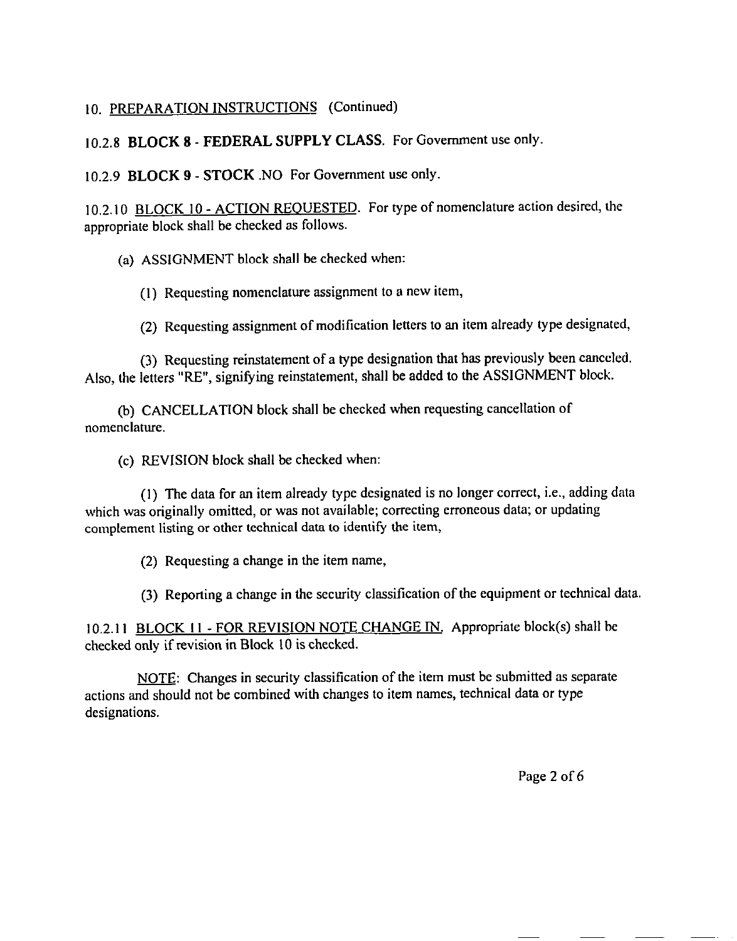#### 10. PREPARATION INSTRUCTIONS **(Continued)**

#### **10.2.8** BLOCK 8- FEDERAL SUPPLY CLASS. For Government use only.

10.2.9 BLOCK 9- STOCK .NO For Government use only.

10.2.10 BLOCK 10 - ACTION REQUESTED. For type of nomenclature action desired, the appropriate block shall be checked as follows.

(a) ASSIGNMENT block shall be checked when:

(1) Requesting nomenclature assignment to a new item,

**(2) Requesting assignment of modification leUers to an item already type designated,**

(3) Requesting reinstatement of a type designation that has previously been canceled. Also, the letters "RE", signifying reinstatement, shall be added to the ASSIGNMENT block.

(b) CANCELLATION block shall be checked when requesting cancellation of nomenclature.

(c) REVISION block shall be checked when:

(1) The data for an item already type designated is no longer correct, i.e., adding data which was originally omitted, or was not available; correcting erroneous data; or updating complement listing or other technical data to identify the item,

(2) Requesting a change in the item name,

(3) Reporting a change in the security classification of the equipment or technical data.

10.2.11 BLOCK 11 - FOR REVISION NOTE CHANGE IN. Appropriate block(s) shall be checked only if revision in Block 10 is checked.

NOTE: Changes in security classification of the item must be submitted as separate actions and should not be combined with changes to item names, technical data or type designations.

Page 2 of 6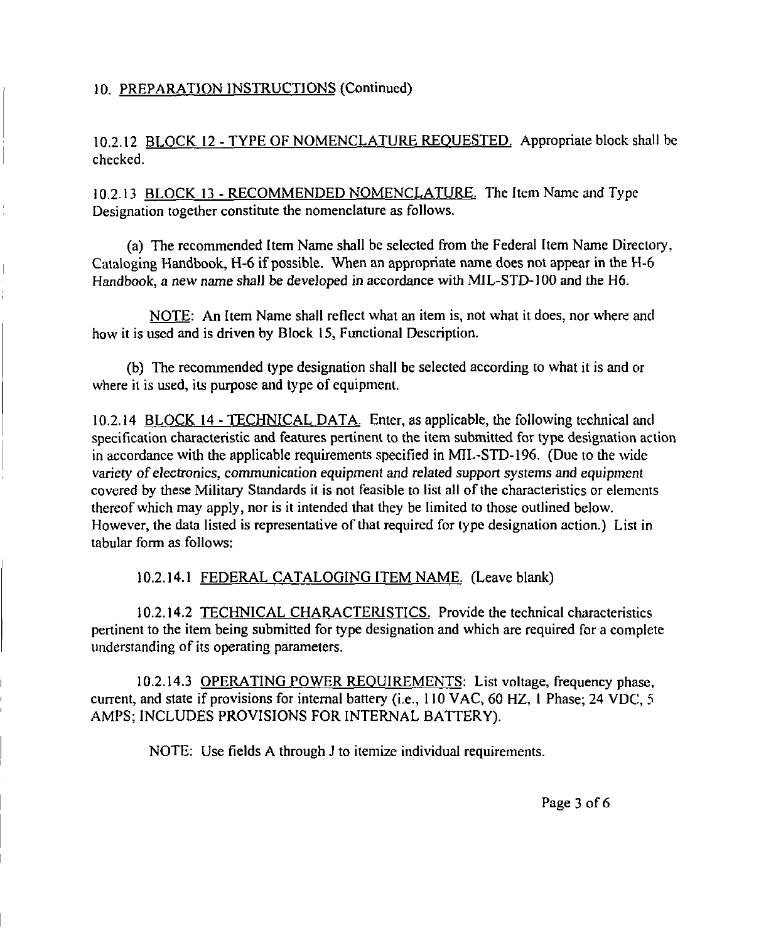10. PREPARATION INSTRUCTIONS (Continued)

 $\frac{1}{2}$  becked  $\frac{1}{2}$  and  $\frac{1}{2}$  and  $\frac{1}{2}$  and  $\frac{1}{2}$  and  $\frac{1}{2}$  and  $\frac{1}{2}$  and  $\frac{1}{2}$  and  $\frac{1}{2}$  and  $\frac{1}{2}$  and  $\frac{1}{2}$  and  $\frac{1}{2}$  and  $\frac{1}{2}$  and  $\frac{1}{2}$  and  $\frac{1}{2}$  and  $\frac{1}{2}$ 

10.2.13 BLOCK 13 - RECOMMENDED NOMENCLATURE. The Item Name and Type Designation together constitute the nomenclature as follows.  $C_{\rm eff}$  if possible. When appropriate name does not appropriate name does not appropriate name does not appear in the H-6 in the H-6 in the H-6 in the H-6 in the H-6 in the H-6 in the H-6 in the H-6 in the H-6 in the H-6

(a) The recommended Item Name shall be selected from the Federal Item Name Directory, Cataloging Handbook, H-6 if possible. When an appropriate name does not appear in the H-6 Handbook, a new name shall be developed in accordance with MIL-STD-100 and the H6. how it is used and is driven by Block 15, Functional Description.

NOTE: An Item Name shall reflect what an item is, not what it does, nor where and how it is used and is driven by Block 15, Functional Description. where it is used, it is used, its purpose and type of equipment. It is used, it is purpose and type of equipment.

(b) The recommended type designation shall be selected according to what it is and or where it is used, its purpose and type of equipment. specification characteristic and features pertinent to the item submitted for type designation action

10.2.14 BLOCK 14 - TECHNICAL DATA. Enter, as applicable, the following technical and specification characteristic and features pertinent to the item submitted for type designation action in accordance with the applicable requirements specified in MIL-STD-196. (Due to the wide variety of electronics, communication equipment and related support systems and equipment covered by these Military Standards it is not feasible to list all of the characteristics or elements thereof which may apply, nor is it intended that they be limited to those outlined below. However, the data listed is representative of that required for type designation action.) List in tabular form as follows:

10.2.14.1 FEDERAL CATALOGING ITEM NAME. (Leave blank) pertinent to the item being submitted for type designation and which are required for a complete

10.2.14.2 TECHNICAL CHARACTERISTICS. Provide the technical characteristics pertinent to the item being submitted for type designation and which are required for a complete understanding of its operating parameters. current, and state if provisions for internal battery (i.e., 110 VAC, 60  $\pm$ 

10.2.14.3 OPERATING POWER REQUIREMENTS: List voltage, frequency phase, current, and state if provisions for internal battery (i.e., 110 VAC, 60 HZ, 1 Phase; 24 VDC, 5 AMPS; INCLUDES PROVISIONS FOR INTERNAL BATTERY).

NOTE: Use fields A through J to itemize individual requirements.

Page 3 of 6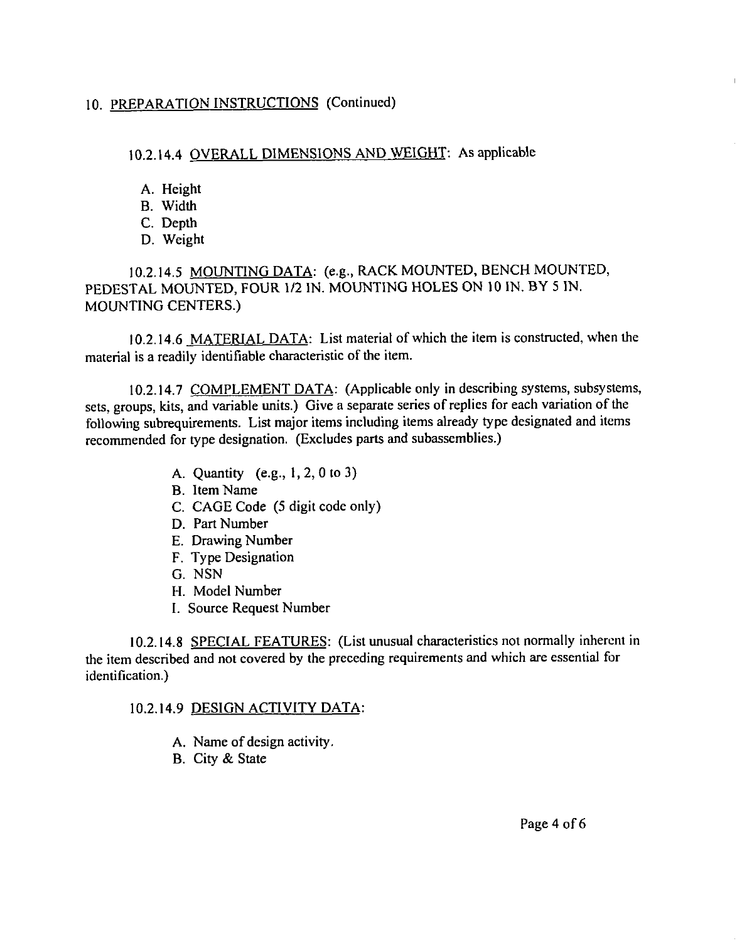## 10. PREPARATION INSTRUCTIONS (Continued)

10.2.14.4 OVERALL DIMENS1ONS AND WEIGHT: As applicable

- A. Height
- B. Width
- C. Depth
- D. Weight

10.2.14.5 MOUNTING DATA: (e.g., RACK MOUNTED, BENCH MOUNTED, PEDESTAL MOUNTED, FOUR 1/2 IN. MOUNTING HOLES ON 10 IN. BY 5 IN. MOUNTING CENTERS.)

10.2.14.6 MATERIAL DATA: List material of which the item is constructed, when the material is a readily identifiable characteristic of the item.

10.2.14.7 COMPLEMENT DATA: (Applicable only in describing systems, subsystems, sets, groups, kits, and variable units.) Give a separate series of replies for each variation of the following subrequirements. List major items including items already type designated and items recommended for type designation. (Excludes parts and subassemblies.)

- A. Quantity (e.g., 1,2,0 to 3)
- B. Item Name
- C. CAGE Code (5 digit code only)
- D. Part Number
- E. Drawing Number
- F. Type Designation
- G, NSN
- H. Model Number
- 1. Source Request Number

10.2.14.8 SPECIAL FEATURES: (List unusual characteristics not normally inherent in the item described and not covered by the preceding requirements and which are essential for identification.)

## 10.2.14.9 DESIGN ACTIVITY DATA:

- A. Name of design activity
- B. City & State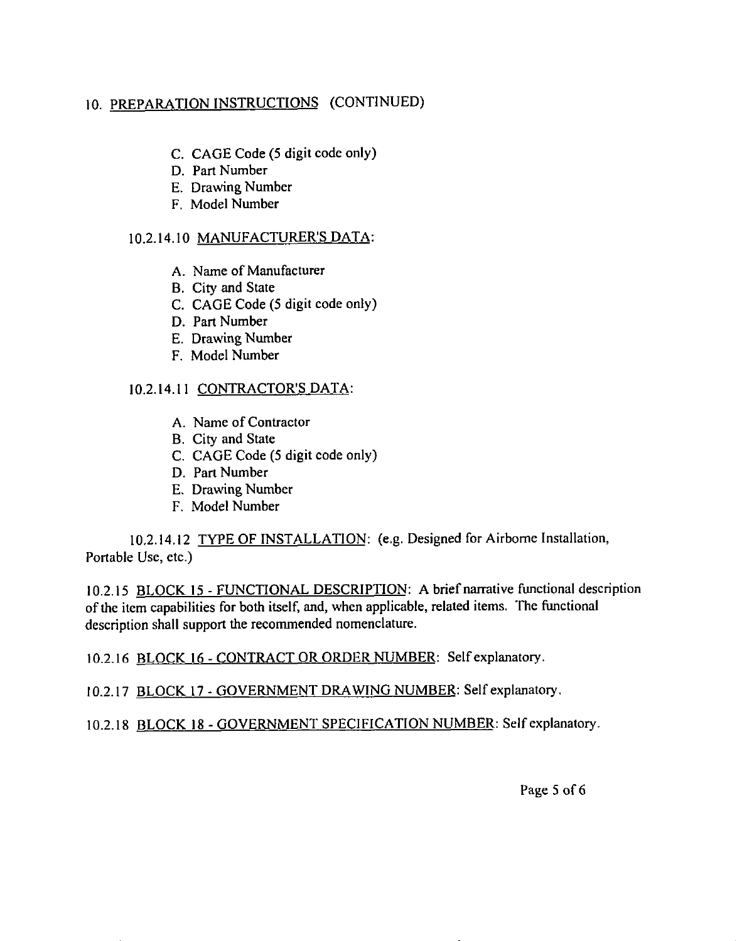## 10. PREPARATION INSTRUCTIONS (CONTINUED)

- C. CAGE Code (5 digit code only)
- D. Part Number
- E. Drawing Number
- F Model Number

## 10.2.14.10 MANUFACTURERS DATA:

- A. Name of Manufacturer
- B, City and State
- C. CAGE Code (5 digit code only)
- D. Part Number
- E. Drawing Number
- F. Model Number

## 10.2.14.11 CONTRACTOR'S DATA:

- A. Name of **Contractor**
- **B. City** and State
- C. CAGE Code (5 **digit code only)**
- D. Part Number
- E. Drawing Number
- F. Model Number

10.2.14.12 TYPE OF INSTALLATION: (e.g. Designed for Airborne Installation, Portable Use, etc.)

10.2.15 BLOCK 15- FUNCTIONAL DESCRIPTION: A brief narrative functional description of the item capabilities for both itself, and, when applicable, related items, The functional description shall support the recommended nomenclature.

10.2.16 BLOCK 16 - CONTRACT OR ORDER NUMBER: Self explanatory.

10.2.17 BLOCK 17 - GOVERNMENT DRAWING NUMBER: Self explanatory.

10.2.18 BLOCK 18 - GOVERNMENT SPECIFICATION NUMBER: Self explanatory.

Page 5 of 6